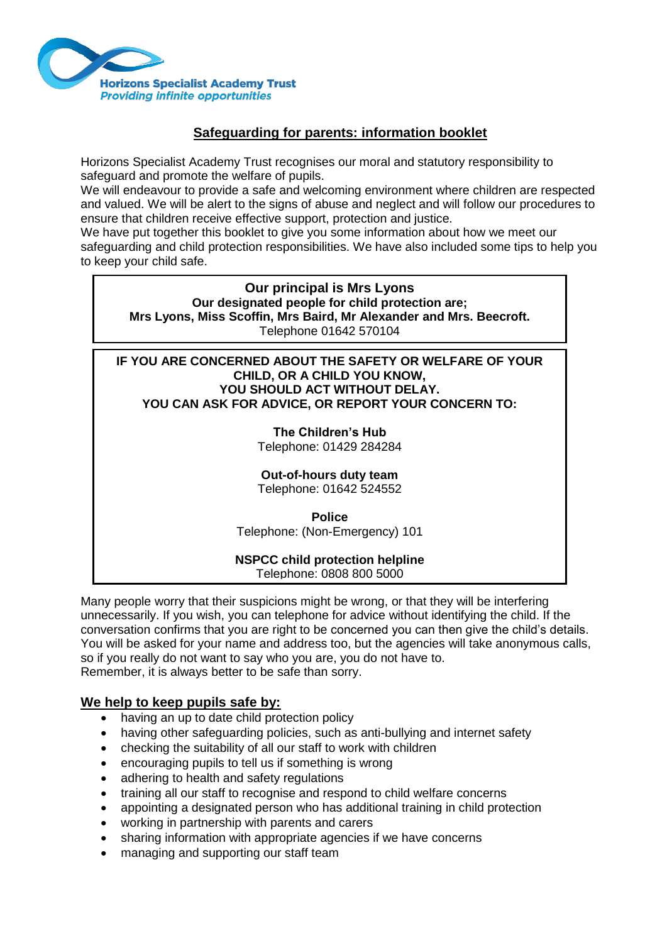

# **Safeguarding for parents: information booklet**

Horizons Specialist Academy Trust recognises our moral and statutory responsibility to safeguard and promote the welfare of pupils.

We will endeavour to provide a safe and welcoming environment where children are respected and valued. We will be alert to the signs of abuse and neglect and will follow our procedures to ensure that children receive effective support, protection and justice.

We have put together this booklet to give you some information about how we meet our

safeguarding and child protection responsibilities. We have also included some tips to help you to keep your child safe.

**Our principal is Mrs Lyons Our designated people for child protection are; Mrs Lyons, Miss Scoffin, Mrs Baird, Mr Alexander and Mrs. Beecroft.** Telephone 01642 570104

**IF YOU ARE CONCERNED ABOUT THE SAFETY OR WELFARE OF YOUR CHILD, OR A CHILD YOU KNOW, YOU SHOULD ACT WITHOUT DELAY. YOU CAN ASK FOR ADVICE, OR REPORT YOUR CONCERN TO:**

# **The Children's Hub**

Telephone: 01429 284284

# **Out-of-hours duty team**

Telephone: 01642 524552

**Police** Telephone: (Non-Emergency) 101

#### **NSPCC child protection helpline** Telephone: 0808 800 5000

Many people worry that their suspicions might be wrong, or that they will be interfering unnecessarily. If you wish, you can telephone for advice without identifying the child. If the conversation confirms that you are right to be concerned you can then give the child's details. You will be asked for your name and address too, but the agencies will take anonymous calls, so if you really do not want to say who you are, you do not have to. Remember, it is always better to be safe than sorry.

# **We help to keep pupils safe by:**

- having an up to date child protection policy
- having other safeguarding policies, such as anti-bullying and internet safety
- checking the suitability of all our staff to work with children
- encouraging pupils to tell us if something is wrong
- adhering to health and safety regulations
- training all our staff to recognise and respond to child welfare concerns
- appointing a designated person who has additional training in child protection
- working in partnership with parents and carers
- sharing information with appropriate agencies if we have concerns
- managing and supporting our staff team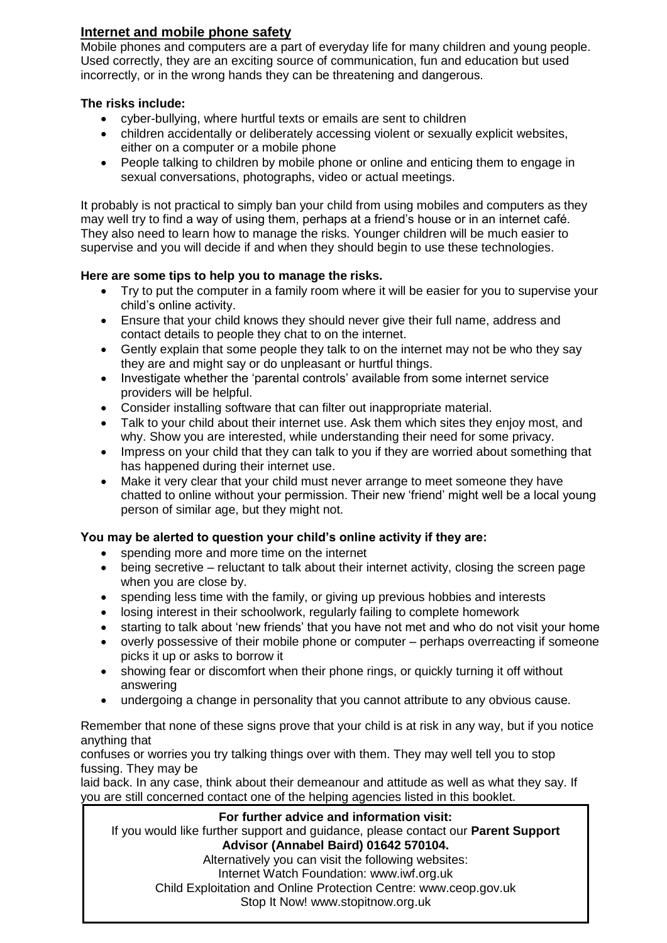# **Internet and mobile phone safety**

Mobile phones and computers are a part of everyday life for many children and young people. Used correctly, they are an exciting source of communication, fun and education but used incorrectly, or in the wrong hands they can be threatening and dangerous.

## **The risks include:**

- cyber-bullying, where hurtful texts or emails are sent to children
- children accidentally or deliberately accessing violent or sexually explicit websites, either on a computer or a mobile phone
- People talking to children by mobile phone or online and enticing them to engage in sexual conversations, photographs, video or actual meetings.

It probably is not practical to simply ban your child from using mobiles and computers as they may well try to find a way of using them, perhaps at a friend's house or in an internet café. They also need to learn how to manage the risks. Younger children will be much easier to supervise and you will decide if and when they should begin to use these technologies.

# **Here are some tips to help you to manage the risks.**

- Try to put the computer in a family room where it will be easier for you to supervise your child's online activity.
- Ensure that your child knows they should never give their full name, address and contact details to people they chat to on the internet.
- Gently explain that some people they talk to on the internet may not be who they say they are and might say or do unpleasant or hurtful things.
- Investigate whether the 'parental controls' available from some internet service providers will be helpful.
- Consider installing software that can filter out inappropriate material.
- Talk to your child about their internet use. Ask them which sites they enjoy most, and why. Show you are interested, while understanding their need for some privacy.
- Impress on your child that they can talk to you if they are worried about something that has happened during their internet use.
- Make it very clear that your child must never arrange to meet someone they have chatted to online without your permission. Their new 'friend' might well be a local young person of similar age, but they might not.

# **You may be alerted to question your child's online activity if they are:**

- spending more and more time on the internet
- being secretive reluctant to talk about their internet activity, closing the screen page when you are close by.
- spending less time with the family, or giving up previous hobbies and interests
- losing interest in their schoolwork, regularly failing to complete homework
- starting to talk about 'new friends' that you have not met and who do not visit your home
- overly possessive of their mobile phone or computer perhaps overreacting if someone picks it up or asks to borrow it
- showing fear or discomfort when their phone rings, or quickly turning it off without answering
- undergoing a change in personality that you cannot attribute to any obvious cause.

Remember that none of these signs prove that your child is at risk in any way, but if you notice anything that

confuses or worries you try talking things over with them. They may well tell you to stop fussing. They may be

laid back. In any case, think about their demeanour and attitude as well as what they say. If you are still concerned contact one of the helping agencies listed in this booklet.

## **For further advice and information visit:**

If you would like further support and guidance, please contact our **Parent Support Advisor (Annabel Baird) 01642 570104.**

Alternatively you can visit the following websites: Internet Watch Foundation: www.iwf.org.uk Child Exploitation and Online Protection Centre: www.ceop.gov.uk Stop It Now! www.stopitnow.org.uk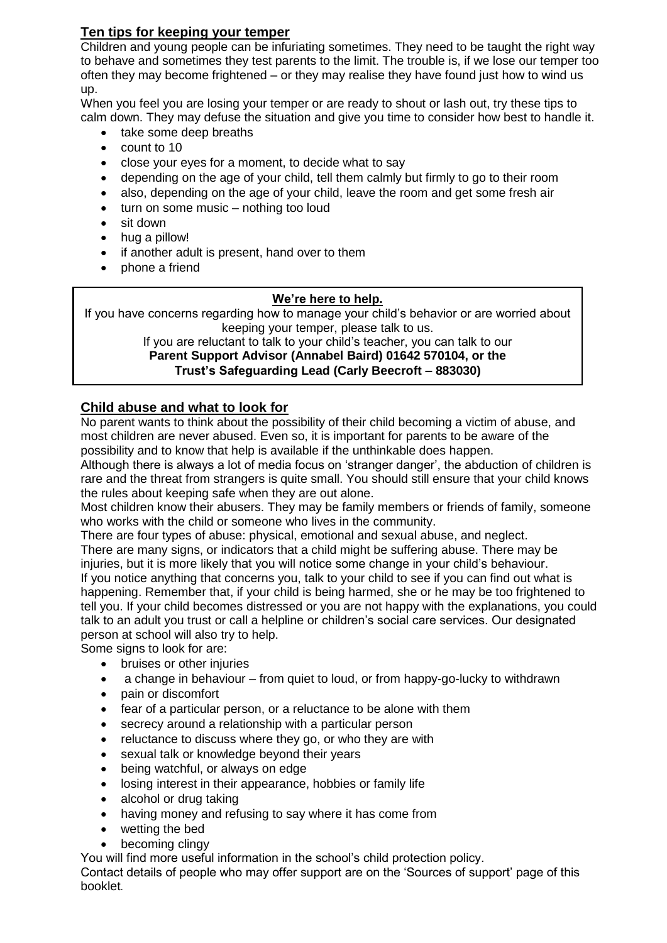# **Ten tips for keeping your temper**

Children and young people can be infuriating sometimes. They need to be taught the right way to behave and sometimes they test parents to the limit. The trouble is, if we lose our temper too often they may become frightened – or they may realise they have found just how to wind us up.

When you feel you are losing your temper or are ready to shout or lash out, try these tips to calm down. They may defuse the situation and give you time to consider how best to handle it.

- take some deep breaths
- count to 10
- close your eyes for a moment, to decide what to say
- depending on the age of your child, tell them calmly but firmly to go to their room
- also, depending on the age of your child, leave the room and get some fresh air
- turn on some music nothing too loud
- sit down
- hug a pillow!
- if another adult is present, hand over to them
- phone a friend

## **We're here to help.**

If you have concerns regarding how to manage your child's behavior or are worried about keeping your temper, please talk to us. If you are reluctant to talk to your child's teacher, you can talk to our

# **Parent Support Advisor (Annabel Baird) 01642 570104, or the Trust's Safeguarding Lead (Carly Beecroft – 883030)**

# **Child abuse and what to look for**

No parent wants to think about the possibility of their child becoming a victim of abuse, and most children are never abused. Even so, it is important for parents to be aware of the possibility and to know that help is available if the unthinkable does happen.

Although there is always a lot of media focus on 'stranger danger', the abduction of children is rare and the threat from strangers is quite small. You should still ensure that your child knows the rules about keeping safe when they are out alone.

Most children know their abusers. They may be family members or friends of family, someone who works with the child or someone who lives in the community.

There are four types of abuse: physical, emotional and sexual abuse, and neglect.

There are many signs, or indicators that a child might be suffering abuse. There may be injuries, but it is more likely that you will notice some change in your child's behaviour. If you notice anything that concerns you, talk to your child to see if you can find out what is happening. Remember that, if your child is being harmed, she or he may be too frightened to tell you. If your child becomes distressed or you are not happy with the explanations, you could talk to an adult you trust or call a helpline or children's social care services. Our designated person at school will also try to help.

Some signs to look for are:

- bruises or other injuries
- a change in behaviour from quiet to loud, or from happy-go-lucky to withdrawn
- pain or discomfort
- fear of a particular person, or a reluctance to be alone with them
- secrecy around a relationship with a particular person
- reluctance to discuss where they go, or who they are with
- sexual talk or knowledge beyond their years
- being watchful, or always on edge
- losing interest in their appearance, hobbies or family life
- alcohol or drug taking
- having money and refusing to say where it has come from
- wetting the bed
- becoming clingy

You will find more useful information in the school's child protection policy.

Contact details of people who may offer support are on the 'Sources of support' page of this booklet.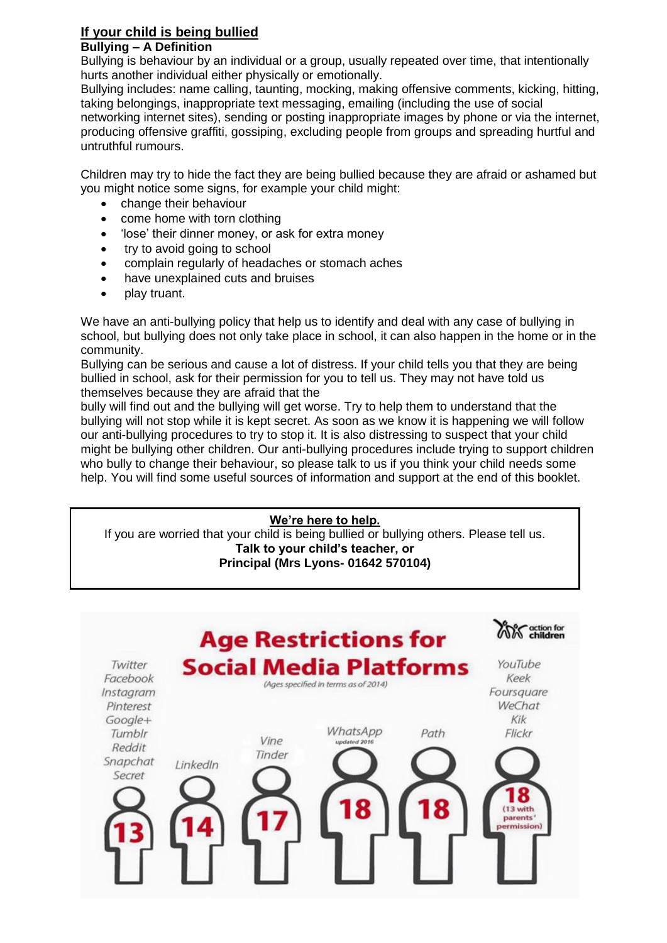#### **If your child is being bullied Bullying – A Definition**

Bullying is behaviour by an individual or a group, usually repeated over time, that intentionally hurts another individual either physically or emotionally.

Bullying includes: name calling, taunting, mocking, making offensive comments, kicking, hitting, taking belongings, inappropriate text messaging, emailing (including the use of social networking internet sites), sending or posting inappropriate images by phone or via the internet, producing offensive graffiti, gossiping, excluding people from groups and spreading hurtful and untruthful rumours.

Children may try to hide the fact they are being bullied because they are afraid or ashamed but you might notice some signs, for example your child might:

- change their behaviour
- come home with torn clothing
- 'lose' their dinner money, or ask for extra money
- try to avoid going to school
- complain regularly of headaches or stomach aches
- have unexplained cuts and bruises
- play truant.

We have an anti-bullying policy that help us to identify and deal with any case of bullying in school, but bullying does not only take place in school, it can also happen in the home or in the community.

Bullying can be serious and cause a lot of distress. If your child tells you that they are being bullied in school, ask for their permission for you to tell us. They may not have told us themselves because they are afraid that the

bully will find out and the bullying will get worse. Try to help them to understand that the bullying will not stop while it is kept secret. As soon as we know it is happening we will follow our anti-bullying procedures to try to stop it. It is also distressing to suspect that your child might be bullying other children. Our anti-bullying procedures include trying to support children who bully to change their behaviour, so please talk to us if you think your child needs some help. You will find some useful sources of information and support at the end of this booklet.

# **We're here to help.**

If you are worried that your child is being bullied or bullying others. Please tell us. **Talk to your child's teacher, or Principal (Mrs Lyons- 01642 570104)**

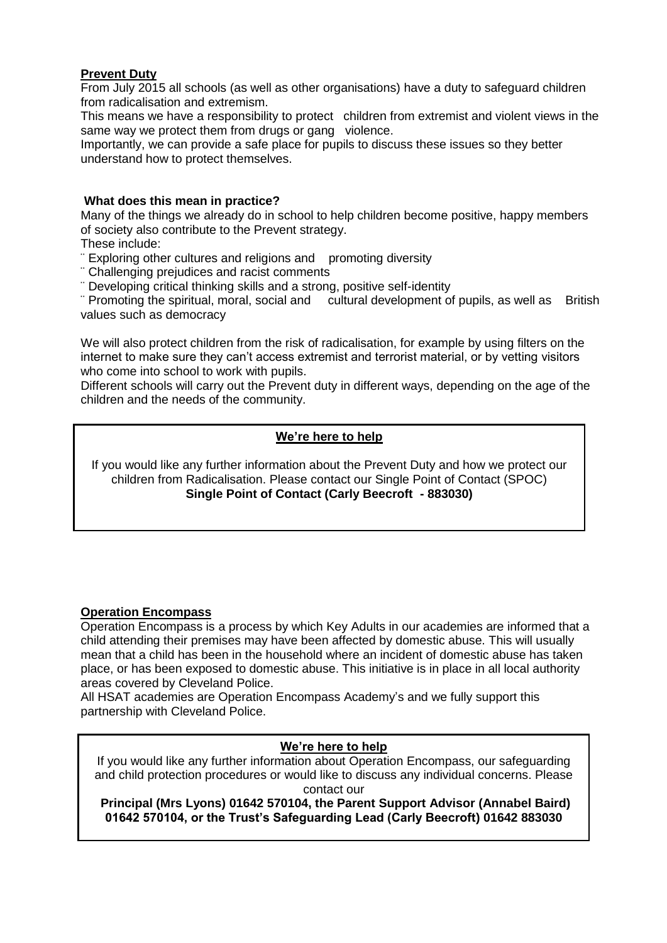## **Prevent Duty**

From July 2015 all schools (as well as other organisations) have a duty to safeguard children from radicalisation and extremism.

This means we have a responsibility to protect children from extremist and violent views in the same way we protect them from drugs or gang violence.

Importantly, we can provide a safe place for pupils to discuss these issues so they better understand how to protect themselves.

## **What does this mean in practice?**

Many of the things we already do in school to help children become positive, happy members of society also contribute to the Prevent strategy.

These include:

- ¨ Exploring other cultures and religions and promoting diversity
- ¨ Challenging prejudices and racist comments

¨ Developing critical thinking skills and a strong, positive self-identity

¨ Promoting the spiritual, moral, social and cultural development of pupils, as well as British values such as democracy

We will also protect children from the risk of radicalisation, for example by using filters on the internet to make sure they can't access extremist and terrorist material, or by vetting visitors who come into school to work with pupils.

Different schools will carry out the Prevent duty in different ways, depending on the age of the children and the needs of the community.

# **We're here to help**

If you would like any further information about the Prevent Duty and how we protect our children from Radicalisation. Please contact our Single Point of Contact (SPOC) **Single Point of Contact (Carly Beecroft - 883030)**

## **Operation Encompass**

Operation Encompass is a process by which Key Adults in our academies are informed that a child attending their premises may have been affected by domestic abuse. This will usually mean that a child has been in the household where an incident of domestic abuse has taken place, or has been exposed to domestic abuse. This initiative is in place in all local authority areas covered by Cleveland Police.

All HSAT academies are Operation Encompass Academy's and we fully support this partnership with Cleveland Police.

## **We're here to help**

If you would like any further information about Operation Encompass, our safeguarding and child protection procedures or would like to discuss any individual concerns. Please contact our

**Principal (Mrs Lyons) 01642 570104, the Parent Support Advisor (Annabel Baird) 01642 570104, or the Trust's Safeguarding Lead (Carly Beecroft) 01642 883030**

**Trust's safeguarding officer (Carly Beecroft - 570104)**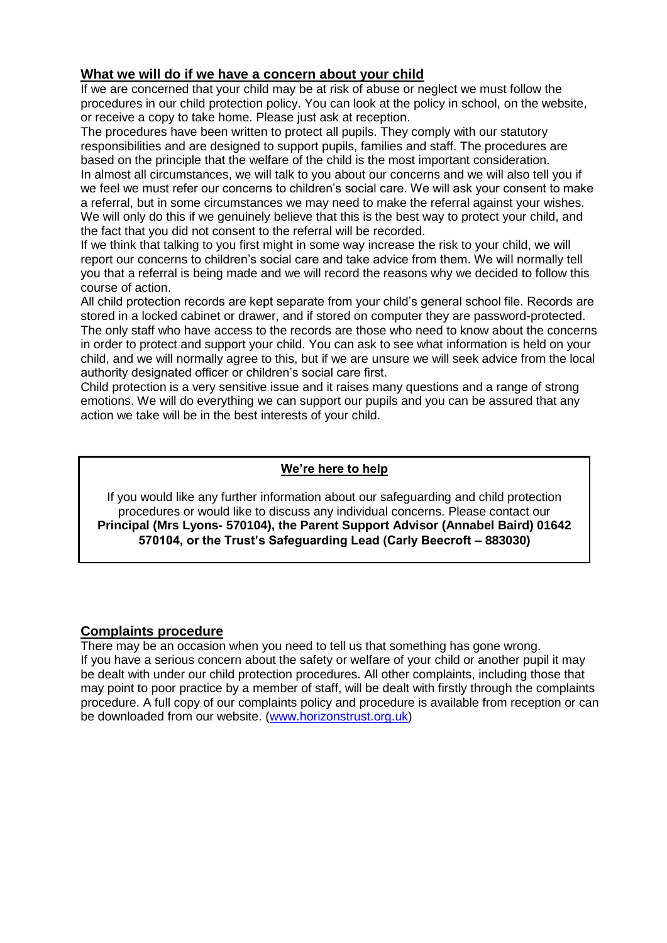# **What we will do if we have a concern about your child**

If we are concerned that your child may be at risk of abuse or neglect we must follow the procedures in our child protection policy. You can look at the policy in school, on the website, or receive a copy to take home. Please just ask at reception.

The procedures have been written to protect all pupils. They comply with our statutory responsibilities and are designed to support pupils, families and staff. The procedures are based on the principle that the welfare of the child is the most important consideration.

In almost all circumstances, we will talk to you about our concerns and we will also tell you if we feel we must refer our concerns to children's social care. We will ask your consent to make a referral, but in some circumstances we may need to make the referral against your wishes. We will only do this if we genuinely believe that this is the best way to protect your child, and the fact that you did not consent to the referral will be recorded.

If we think that talking to you first might in some way increase the risk to your child, we will report our concerns to children's social care and take advice from them. We will normally tell you that a referral is being made and we will record the reasons why we decided to follow this course of action.

All child protection records are kept separate from your child's general school file. Records are stored in a locked cabinet or drawer, and if stored on computer they are password-protected. The only staff who have access to the records are those who need to know about the concerns in order to protect and support your child. You can ask to see what information is held on your child, and we will normally agree to this, but if we are unsure we will seek advice from the local authority designated officer or children's social care first.

Child protection is a very sensitive issue and it raises many questions and a range of strong emotions. We will do everything we can support our pupils and you can be assured that any action we take will be in the best interests of your child.

## **We're here to help**

If you would like any further information about our safeguarding and child protection procedures or would like to discuss any individual concerns. Please contact our **Principal (Mrs Lyons- 570104), the Parent Support Advisor (Annabel Baird) 01642 570104, or the Trust's Safeguarding Lead (Carly Beecroft – 883030)**

## **Complaints procedure**

There may be an occasion when you need to tell us that something has gone wrong. If you have a serious concern about the safety or welfare of your child or another pupil it may be dealt with under our child protection procedures. All other complaints, including those that may point to poor practice by a member of staff, will be dealt with firstly through the complaints procedure. A full copy of our complaints policy and procedure is available from reception or can be downloaded from our website. [\(www.horizonstrust.org.uk\)](http://www.horizonstrust.org.uk/)